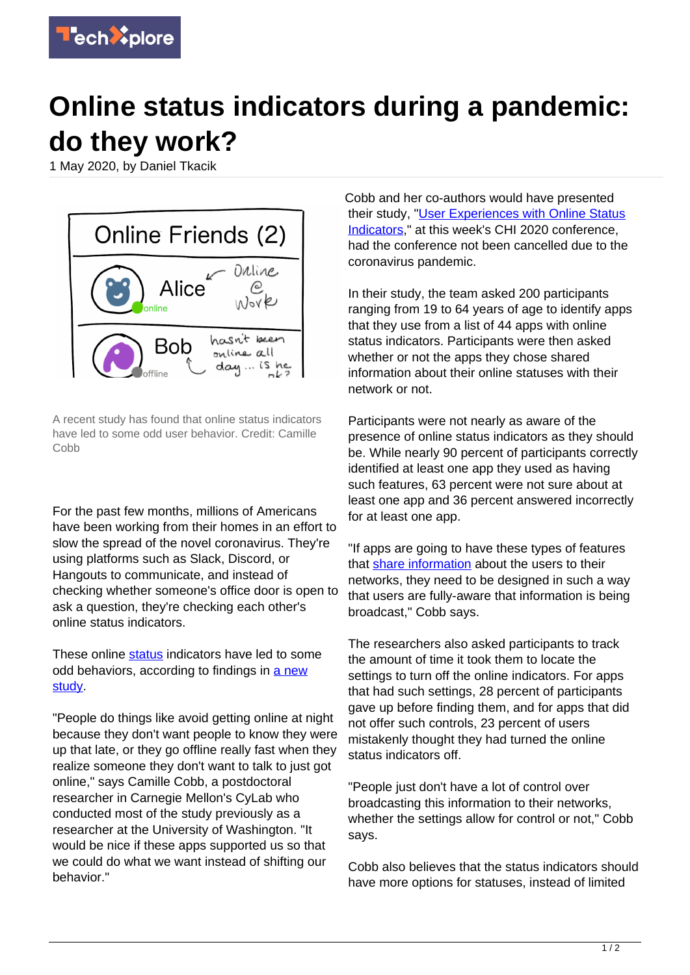

## **Online status indicators during a pandemic: do they work?**

1 May 2020, by Daniel Tkacik



A recent study has found that online status indicators have led to some odd user behavior. Credit: Camille Cobb

For the past few months, millions of Americans have been working from their homes in an effort to slow the spread of the novel coronavirus. They're using platforms such as Slack, Discord, or Hangouts to communicate, and instead of checking whether someone's office door is open to ask a question, they're checking each other's online status indicators.

These online [status](https://techxplore.com/tags/status/) indicators have led to some odd behaviors, according to findings in [a new](https://programs.sigchi.org/chi/2020/program/content/31978) [study.](https://programs.sigchi.org/chi/2020/program/content/31978)

"People do things like avoid getting online at night because they don't want people to know they were up that late, or they go offline really fast when they realize someone they don't want to talk to just got online," says Camille Cobb, a postdoctoral researcher in Carnegie Mellon's CyLab who conducted most of the study previously as a researcher at the University of Washington. "It would be nice if these apps supported us so that we could do what we want instead of shifting our behavior."

Cobb and her co-authors would have presented their study, ["User Experiences with Online Status](https://programs.sigchi.org/chi/2020/program/content/31978) [Indicators](https://programs.sigchi.org/chi/2020/program/content/31978)," at this week's CHI 2020 conference, had the conference not been cancelled due to the coronavirus pandemic.

In their study, the team asked 200 participants ranging from 19 to 64 years of age to identify apps that they use from a list of 44 apps with online status indicators. Participants were then asked whether or not the apps they chose shared information about their online statuses with their network or not.

Participants were not nearly as aware of the presence of online status indicators as they should be. While nearly 90 percent of participants correctly identified at least one app they used as having such features, 63 percent were not sure about at least one app and 36 percent answered incorrectly for at least one app.

"If apps are going to have these types of features that [share information](https://techxplore.com/tags/share+information/) about the users to their networks, they need to be designed in such a way that users are fully-aware that information is being broadcast," Cobb says.

The researchers also asked participants to track the amount of time it took them to locate the settings to turn off the online indicators. For apps that had such settings, 28 percent of participants gave up before finding them, and for apps that did not offer such controls, 23 percent of users mistakenly thought they had turned the online status indicators off.

"People just don't have a lot of control over broadcasting this information to their networks, whether the settings allow for control or not," Cobb says.

Cobb also believes that the status indicators should have more options for statuses, instead of limited